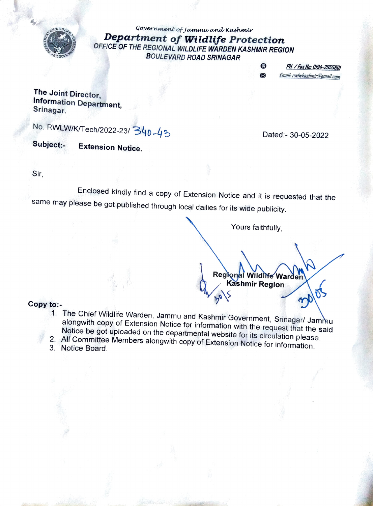

Government of Jammw and Kashmir Department of Wildlife Protection OFFICE OF THE REGIONAL WILDLIFE WARDEN KASHMIR REGION BOULEVARD ROAD SRINAGAR

> $\bullet$ X

PH. / Fax Na: 0194-2955801 Emait rwlwkashmir@gmail.com

The Joint Director, Information Department, Srinagar.

No. RWLW/K/Tech/2022-23/340-43

Subject:- Extension Notice.

Dated:- 30-05-2022

Sir,

Enclosed kindly find a copy of Extension Notice and it is requested that the same may please be got published through local dailies for its wide publicity.

Yours faithfully,

Regional Wildite Warden

Copy to:-<br>1. The Chief Wildlife Warden, Jammu and Kashmir Government, Srinagar/ Jammu alongwith copy of Extension Notice for information with the request that the said<br>Notice be got uploaded on the departmental website for its circulation please.

2015

- 2. All Committee Members alongwith copy of Extension Notice for information.<br>3. Notice Board.
-